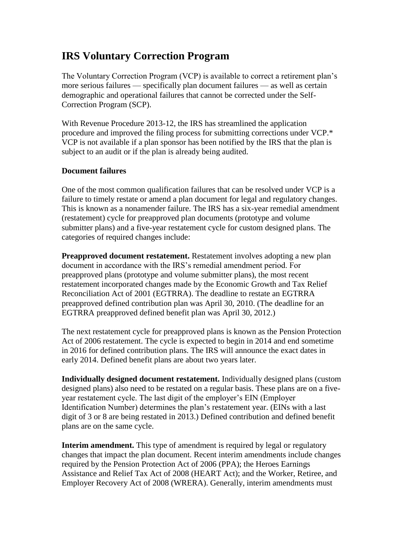## **IRS Voluntary Correction Program**

The Voluntary Correction Program (VCP) is available to correct a retirement plan's more serious failures — specifically plan document failures — as well as certain demographic and operational failures that cannot be corrected under the Self-Correction Program (SCP).

With Revenue Procedure 2013-12, the IRS has streamlined the application procedure and improved the filing process for submitting corrections under VCP.\* VCP is not available if a plan sponsor has been notified by the IRS that the plan is subject to an audit or if the plan is already being audited.

## **Document failures**

One of the most common qualification failures that can be resolved under VCP is a failure to timely restate or amend a plan document for legal and regulatory changes. This is known as a nonamender failure. The IRS has a six-year remedial amendment (restatement) cycle for preapproved plan documents (prototype and volume submitter plans) and a five-year restatement cycle for custom designed plans. The categories of required changes include:

**Preapproved document restatement.** Restatement involves adopting a new plan document in accordance with the IRS's remedial amendment period. For preapproved plans (prototype and volume submitter plans), the most recent restatement incorporated changes made by the Economic Growth and Tax Relief Reconciliation Act of 2001 (EGTRRA). The deadline to restate an EGTRRA preapproved defined contribution plan was April 30, 2010. (The deadline for an EGTRRA preapproved defined benefit plan was April 30, 2012.)

The next restatement cycle for preapproved plans is known as the Pension Protection Act of 2006 restatement. The cycle is expected to begin in 2014 and end sometime in 2016 for defined contribution plans. The IRS will announce the exact dates in early 2014. Defined benefit plans are about two years later.

**Individually designed document restatement.** Individually designed plans (custom designed plans) also need to be restated on a regular basis. These plans are on a fiveyear restatement cycle. The last digit of the employer's EIN (Employer Identification Number) determines the plan's restatement year. (EINs with a last digit of 3 or 8 are being restated in 2013.) Defined contribution and defined benefit plans are on the same cycle.

**Interim amendment.** This type of amendment is required by legal or regulatory changes that impact the plan document. Recent interim amendments include changes required by the Pension Protection Act of 2006 (PPA); the Heroes Earnings Assistance and Relief Tax Act of 2008 (HEART Act); and the Worker, Retiree, and Employer Recovery Act of 2008 (WRERA). Generally, interim amendments must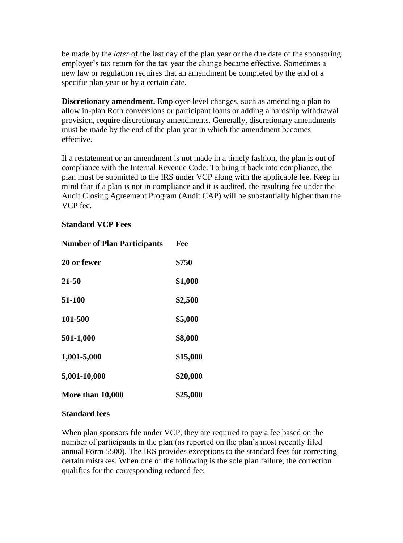be made by the *later* of the last day of the plan year or the due date of the sponsoring employer's tax return for the tax year the change became effective. Sometimes a new law or regulation requires that an amendment be completed by the end of a specific plan year or by a certain date.

**Discretionary amendment.** Employer-level changes, such as amending a plan to allow in-plan Roth conversions or participant loans or adding a hardship withdrawal provision, require discretionary amendments. Generally, discretionary amendments must be made by the end of the plan year in which the amendment becomes effective.

If a restatement or an amendment is not made in a timely fashion, the plan is out of compliance with the Internal Revenue Code. To bring it back into compliance, the plan must be submitted to the IRS under VCP along with the applicable fee. Keep in mind that if a plan is not in compliance and it is audited, the resulting fee under the Audit Closing Agreement Program (Audit CAP) will be substantially higher than the VCP fee.

## **Standard VCP Fees**

| <b>Number of Plan Participants</b> | Fee      |
|------------------------------------|----------|
| 20 or fewer                        | \$750    |
| 21-50                              | \$1,000  |
| 51-100                             | \$2,500  |
| 101-500                            | \$5,000  |
| 501-1,000                          | \$8,000  |
| 1,001-5,000                        | \$15,000 |
| 5,001-10,000                       | \$20,000 |
| More than 10,000                   | \$25,000 |

## **Standard fees**

When plan sponsors file under VCP, they are required to pay a fee based on the number of participants in the plan (as reported on the plan's most recently filed annual Form 5500). The IRS provides exceptions to the standard fees for correcting certain mistakes. When one of the following is the sole plan failure, the correction qualifies for the corresponding reduced fee: